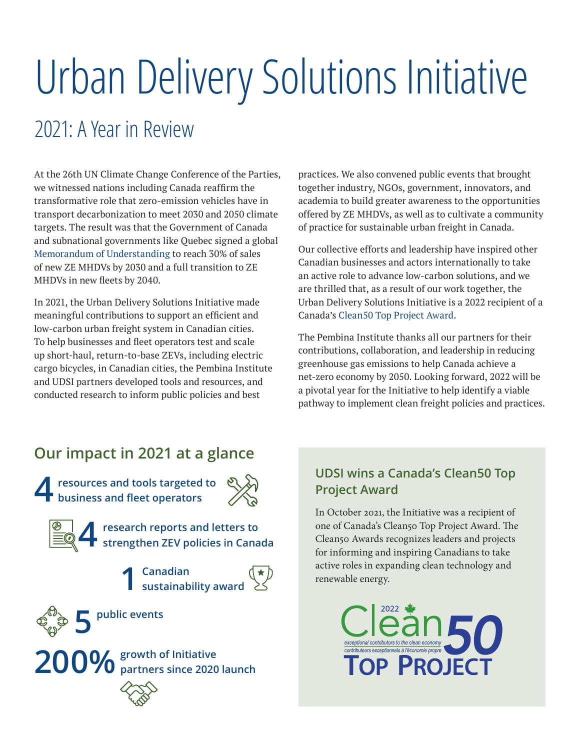# Urban Delivery Solutions Initiative

# 2021: A Year in Review

At the 26th UN Climate Change Conference of the Parties, we witnessed nations including Canada reaffirm the transformative role that zero-emission vehicles have in transport decarbonization to meet 2030 and 2050 climate targets. The result was that the Government of Canada and subnational governments like Quebec signed a global [Memorandum of Understanding](https://globaldrivetozero.org/2021/11/09/landmark-commitment-at-cop26-countries-subnational-governments-vehicle-manufacturers-and-fleets-target-100-zero-emission-new-truck-and-bus-sales-by-2040-10-nov-2021/) to reach 30% of sales of new ZE MHDVs by 2030 and a full transition to ZE MHDVs in new fleets by 2040.

In 2021, the Urban Delivery Solutions Initiative made meaningful contributions to support an efficient and low-carbon urban freight system in Canadian cities. To help businesses and fleet operators test and scale up short-haul, return-to-base ZEVs, including electric cargo bicycles, in Canadian cities, the Pembina Institute and UDSI partners developed tools and resources, and conducted research to inform public policies and best

practices. We also convened public events that brought together industry, NGOs, government, innovators, and academia to build greater awareness to the opportunities offered by ZE MHDVs, as well as to cultivate a community of practice for sustainable urban freight in Canada.

Our collective efforts and leadership have inspired other Canadian businesses and actors internationally to take an active role to advance low-carbon solutions, and we are thrilled that, as a result of our work together, the Urban Delivery Solutions Initiative is a 2022 recipient of a Canada's [Clean50 Top Project Award](https://clean50.com/).

The Pembina Institute thanks all our partners for their contributions, collaboration, and leadership in reducing greenhouse gas emissions to help Canada achieve a net-zero economy by 2050. Looking forward, 2022 will be a pivotal year for the Initiative to help identify a viable pathway to implement clean freight policies and practices.

#### **Our impact in 2021 at a glance**

**4resources and tools targeted to business and fleet operators**



**4research reports and letters to strengthen ZEV policies in Canada**

**1 Canadian sustainability award** 



**5 public events**

**200% growth of Initiative partners since 2020 launch**

#### **UDSI wins a Canada's Clean50 Top Project Award**

In October 2021, the Initiative was a recipient of one of Canada's Clean50 Top Project Award. The Clean50 Awards recognizes leaders and projects for informing and inspiring Canadians to take active roles in expanding clean technology and renewable energy.

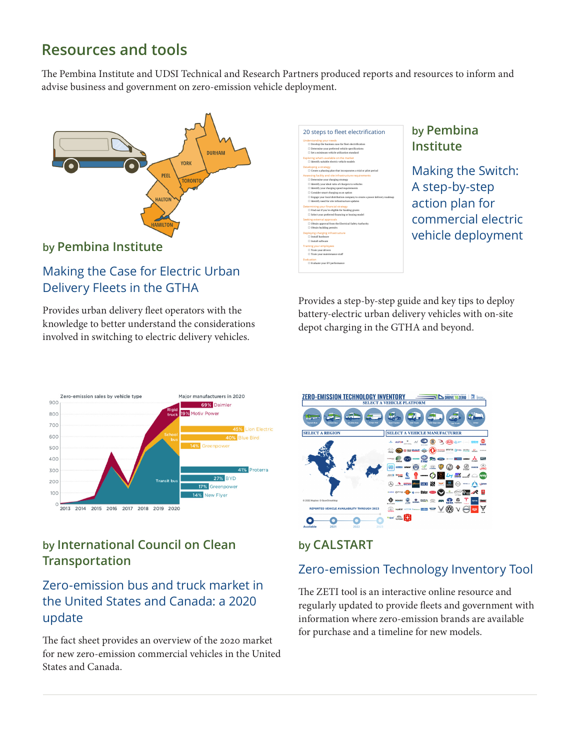### **Resources and tools**

The Pembina Institute and UDSI Technical and Research Partners produced reports and resources to inform and advise business and government on zero-emission vehicle deployment.



**by [Pembina Institute](https://www.pembina.org/pub/guide-electrifying-urban-delivery-fleets-canadian-cities)** 

#### [Making the Case for Electric Urban](https://www.pembina.org/pub/guide-electrifying-urban-delivery-fleets-canadian-cities)  [Delivery Fleets in the GTHA](https://www.pembina.org/pub/guide-electrifying-urban-delivery-fleets-canadian-cities)

Provides urban delivery fleet operators with the knowledge to better understand the considerations involved in switching to electric delivery vehicles.



#### **by Pembina Institute**

Making the Switch: [A step-by-step](https://www.pembina.org/pub/guide-electrifying-urban-delivery-fleets-canadian-cities)  [action plan for](https://www.pembina.org/pub/guide-electrifying-urban-delivery-fleets-canadian-cities)  [commercial electric](https://www.pembina.org/pub/guide-electrifying-urban-delivery-fleets-canadian-cities)  [vehicle deployment](https://www.pembina.org/pub/guide-electrifying-urban-delivery-fleets-canadian-cities)

Provides a step-by-step guide and key tips to deploy battery-electric urban delivery vehicles with on-site depot charging in the GTHA and beyond.



#### **by International Council on Clean Transportation**

#### [Zero-emission bus and truck market in](https://theicct.org/publication/zero-emission-bus-and-truck-market-in-the-united-states-and-canada-a-2020-update/)  [the United States and Canada: a 2020](https://theicct.org/publication/zero-emission-bus-and-truck-market-in-the-united-states-and-canada-a-2020-update/)  [update](https://theicct.org/publication/zero-emission-bus-and-truck-market-in-the-united-states-and-canada-a-2020-update/)

The fact sheet provides an overview of the 2020 market for new zero-emission commercial vehicles in the United States and Canada.



#### **by CALSTART**

#### [Zero-emission Technology Inventory Tool](https://globaldrivetozero.org/tools/zero-emission-technology-inventory/)

The ZETI tool is an interactive online resource and regularly updated to provide fleets and government with information where zero-emission brands are available for purchase and a timeline for new models.